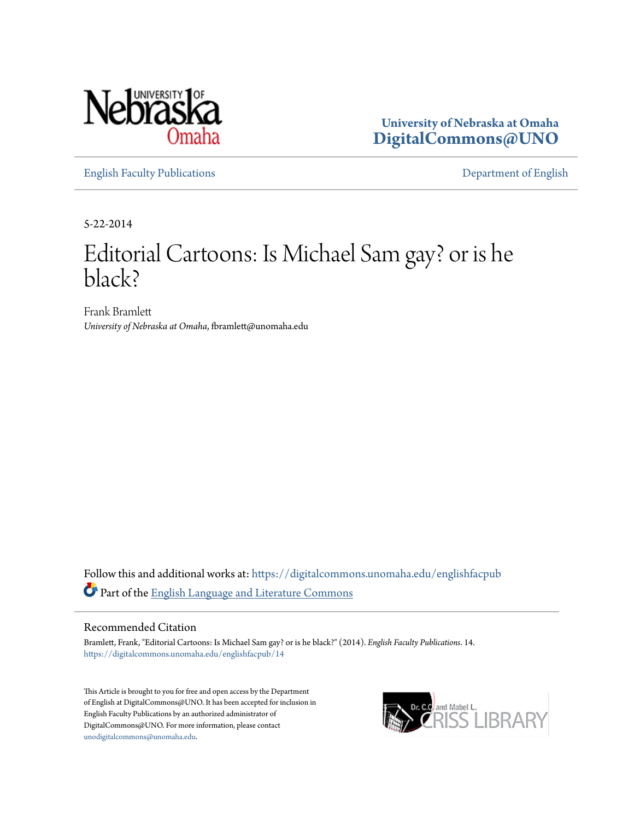

**University of Nebraska at Omaha [DigitalCommons@UNO](https://digitalcommons.unomaha.edu?utm_source=digitalcommons.unomaha.edu%2Fenglishfacpub%2F14&utm_medium=PDF&utm_campaign=PDFCoverPages)**

[English Faculty Publications](https://digitalcommons.unomaha.edu/englishfacpub?utm_source=digitalcommons.unomaha.edu%2Fenglishfacpub%2F14&utm_medium=PDF&utm_campaign=PDFCoverPages) [Department of English](https://digitalcommons.unomaha.edu/english?utm_source=digitalcommons.unomaha.edu%2Fenglishfacpub%2F14&utm_medium=PDF&utm_campaign=PDFCoverPages)

5-22-2014

# Editorial Cartoons: Is Michael Sam gay? or is he black?

Frank Bramlett *University of Nebraska at Omaha*, fbramlett@unomaha.edu

Follow this and additional works at: [https://digitalcommons.unomaha.edu/englishfacpub](https://digitalcommons.unomaha.edu/englishfacpub?utm_source=digitalcommons.unomaha.edu%2Fenglishfacpub%2F14&utm_medium=PDF&utm_campaign=PDFCoverPages) Part of the [English Language and Literature Commons](http://network.bepress.com/hgg/discipline/455?utm_source=digitalcommons.unomaha.edu%2Fenglishfacpub%2F14&utm_medium=PDF&utm_campaign=PDFCoverPages)

## Recommended Citation

Bramlett, Frank, "Editorial Cartoons: Is Michael Sam gay? or is he black?" (2014). *English Faculty Publications*. 14. [https://digitalcommons.unomaha.edu/englishfacpub/14](https://digitalcommons.unomaha.edu/englishfacpub/14?utm_source=digitalcommons.unomaha.edu%2Fenglishfacpub%2F14&utm_medium=PDF&utm_campaign=PDFCoverPages)

This Article is brought to you for free and open access by the Department of English at DigitalCommons@UNO. It has been accepted for inclusion in English Faculty Publications by an authorized administrator of DigitalCommons@UNO. For more information, please contact [unodigitalcommons@unomaha.edu](mailto:unodigitalcommons@unomaha.edu).

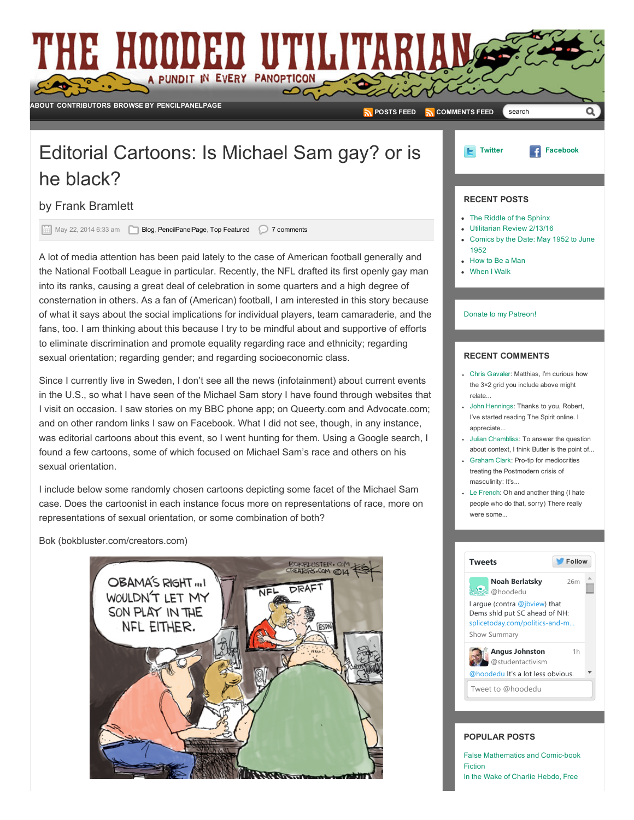# THE HOODED UTILITARI A PUNDIT IN EVERY PANOPTICON ల<ె [ABOUT](http://www.hoodedutilitarian.com/about-2/) [CONTRIBUTORS](http://www.hoodedutilitarian.com/contributors/) [BROWSE](http://www.hoodedutilitarian.com/browse-by/) BY [PENCILPANELPAGE](http://www.hoodedutilitarian.com/pencil-panel-page/) [POSTS](http://hoodedutilitarian.com/feed) FEED **N** [COMMENTS](http://hoodedutilitarian.com/comments/feed) FEED searchEditorial Cartoons: Is Michael Sam gay? or is [Twitter](http://twitter.com/#!/hoodedu) [Facebook](http://www.facebook.com/pages/Hooded-Utilitarian/129413980464822) E. he black? RECENT POSTS by Frank [Bramlett](http://www.hoodedutilitarian.com/author/frank-bramlett/) The Riddle of the [Sphinx](http://www.hoodedutilitarian.com/2016/02/the-riddle-of-the-sphinx/) May 22, 2014 6:33 am [Blog](http://www.hoodedutilitarian.com/category/blog/), [PencilPanelPage,](http://www.hoodedutilitarian.com/category/pencil-panel-page/) Top [Featured](http://www.hoodedutilitarian.com/category/top-featured/) 27 comments [Utilitarian](http://www.hoodedutilitarian.com/2016/02/utilitarian-review-21316/) Review 2/13/16 [Comics](http://www.hoodedutilitarian.com/2016/02/comics-by-the-date-may-1952-to-june-1952/) by the Date: May 1952 to June 1952

A lot of media attention has been paid lately to the case of American football generally and the National Football League in particular. Recently, the NFL drafted its first openly gay man into its ranks, causing a great deal of celebration in some quarters and a high degree of consternation in others. As a fan of (American) football, I am interested in this story because of what it says about the social implications for individual players, team camaraderie, and the fans, too. I am thinking about this because I try to be mindful about and supportive of efforts to eliminate discrimination and promote equality regarding race and ethnicity; regarding sexual orientation; regarding gender; and regarding socioeconomic class.

Since I currently live in Sweden, I don't see all the news (infotainment) about current events in the U.S., so what I have seen of the Michael Sam story I have found through websites that I visit on occasion. I saw stories on my BBC phone app; on Queerty.com and Advocate.com; and on other random links I saw on Facebook. What I did not see, though, in any instance, was editorial cartoons about this event, so I went hunting for them. Using a Google search, I found a few cartoons, some of which focused on Michael Sam's race and others on his sexual orientation.

I include below some randomly chosen cartoons depicting some facet of the Michael Sam case. Does the cartoonist in each instance focus more on representations of race, more on representations of sexual orientation, or some combination of both?

Bok (bokbluster.com/creators.com)



#### Donate to my [Patreon!](https://www.patreon.com/noahberlatsky?u=624215&ty=h)

[How](http://www.hoodedutilitarian.com/2016/02/how-to-be-a-man/) to Be a Man [When](http://www.hoodedutilitarian.com/2016/02/when-i-walk/) I Walk

#### RECENT COMMENTS

- Chris [Gavaler](http://www.hoodedutilitarian.com/2016/02/the-riddle-of-the-sphinx/#comment-212190): Matthias, I'm curious how the 3×2 grid you include above might relate...
- John [Hennings](http://www.hoodedutilitarian.com/2016/02/comics-by-the-date-may-1952-to-june-1952/#comment-212133): Thanks to you, Robert, I've started reading The Spirit online. I appreciate
- Julian [Chambliss](http://www.hoodedutilitarian.com/2014/07/the-body-envisioned-octavia-butler/#comment-212115): To answer the question about context. I think Butler is the point of
- [Graham](http://www.hoodedutilitarian.com/2016/02/how-to-be-a-man/#comment-212021) Clark: Pro-tip for mediocrities treating the Postmodern crisis of masculinity: It's...
- Le [French:](http://www.hoodedutilitarian.com/2012/09/spirou-and-fantasio-racism-for-kids/#comment-212009) Oh and another thing (I hate people who do that, sorry) There really were some...



#### POPULAR POSTS

False [Mathematics](http://www.hoodedutilitarian.com/2015/08/false-mathematics-and-comic-book-fiction/) and Comic-book Fiction In the Wake of Charlie [Hebdo,](http://www.hoodedutilitarian.com/2015/01/in-the-wake-of-charlie-hebdo-free-speech-does-not-mean-freedom-from-criticism/) Free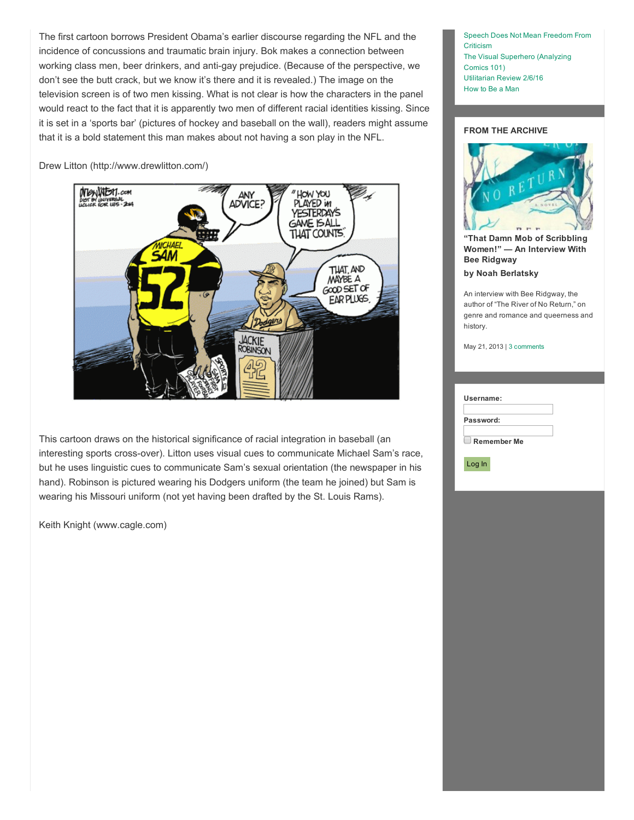The first cartoon borrows President Obama's earlier discourse regarding the NFL and the incidence of concussions and traumatic brain injury. Bok makes a connection between working class men, beer drinkers, and anti-gay prejudice. (Because of the perspective, we don't see the butt crack, but we know it's there and it is revealed.) The image on the television screen is of two men kissing. What is not clear is how the characters in the panel would react to the fact that it is apparently two men of different racial identities kissing. Since it is set in a 'sports bar' (pictures of hockey and baseball on the wall), readers might assume that it is a bold statement this man makes about not having a son play in the NFL.

Drew Litton (http://www.drewlitton.com/)



This cartoon draws on the historical significance of racial integration in baseball (an interesting sports cross-over). Litton uses visual cues to communicate Michael Sam's race, but he uses linguistic cues to communicate Sam's sexual orientation (the newspaper in his hand). Robinson is pictured wearing his Dodgers uniform (the team he joined) but Sam is wearing his Missouri uniform (not yet having been drafted by the St. Louis Rams).

Keith Knight (www.cagle.com)

Speech Does Not Mean [Freedom](http://www.hoodedutilitarian.com/2015/01/in-the-wake-of-charlie-hebdo-free-speech-does-not-mean-freedom-from-criticism/) From **Criticism** The Visual [Superhero](http://www.hoodedutilitarian.com/2016/02/the-visual-superhero-analyzing-comics-101/) (Analyzing Comics 101) [Utilitarian](http://www.hoodedutilitarian.com/2016/02/utilitarian-review-2616/) Review 2/6/16 [How](http://www.hoodedutilitarian.com/2016/02/how-to-be-a-man/) to Be a Man

### FROM THE ARCHIVE



"That Damn Mob of [Scribbling](http://www.hoodedutilitarian.com/2013/05/that-damn-mob-of-scribbling-women-an-interview-with-bee-ridgway/) Women!" — An Interview With Bee Ridgway

by Noah [Berlatsky](http://www.hoodedutilitarian.com/author/noahberlatsky/)

An interview with Bee Ridgway, the author of "The River of No Return," on genre and romance and queerness and history.

May 21, 2013 | 3 [comments](http://www.hoodedutilitarian.com/2013/05/that-damn-mob-of-scribbling-women-an-interview-with-bee-ridgway/#commentspost)

|                    | Username: |  |  |  |
|--------------------|-----------|--|--|--|
| Password:          |           |  |  |  |
| <b>Remember Me</b> |           |  |  |  |
|                    | Log In    |  |  |  |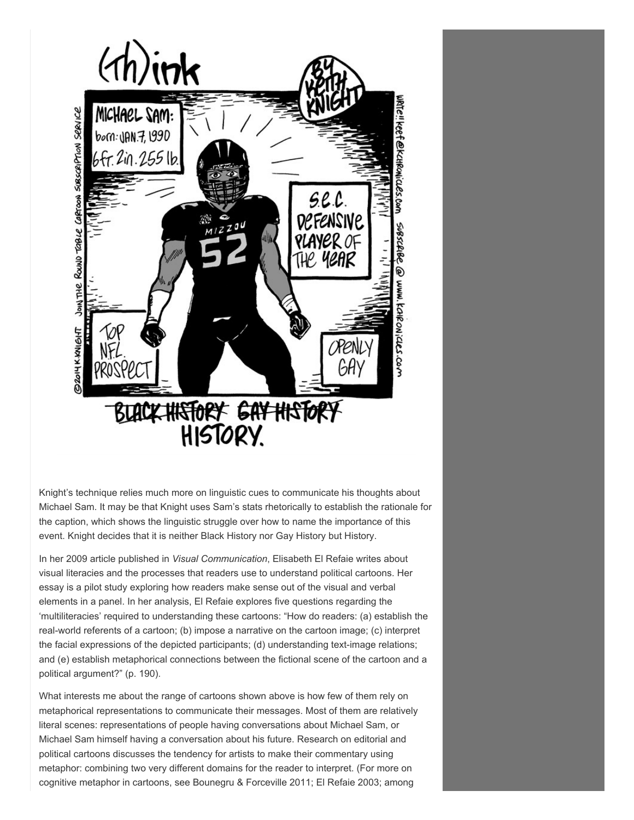

Knight's technique relies much more on linguistic cues to communicate his thoughts about Michael Sam. It may be that Knight uses Sam's stats rhetorically to establish the rationale for the caption, which shows the linguistic struggle over how to name the importance of this event. Knight decides that it is neither Black History nor Gay History but History.

In her 2009 article published in *Visual Communication*, Elisabeth El Refaie writes about visual literacies and the processes that readers use to understand political cartoons. Her essay is a pilot study exploring how readers make sense out of the visual and verbal elements in a panel. In her analysis, El Refaie explores five questions regarding the 'multiliteracies' required to understanding these cartoons: "How do readers: (a) establish the realworld referents of a cartoon; (b) impose a narrative on the cartoon image; (c) interpret the facial expressions of the depicted participants; (d) understanding text-image relations; and (e) establish metaphorical connections between the fictional scene of the cartoon and a political argument?" (p. 190).

What interests me about the range of cartoons shown above is how few of them rely on metaphorical representations to communicate their messages. Most of them are relatively literal scenes: representations of people having conversations about Michael Sam, or Michael Sam himself having a conversation about his future. Research on editorial and political cartoons discusses the tendency for artists to make their commentary using metaphor: combining two very different domains for the reader to interpret. (For more on cognitive metaphor in cartoons, see Bounegru & Forceville 2011; El Refaie 2003; among